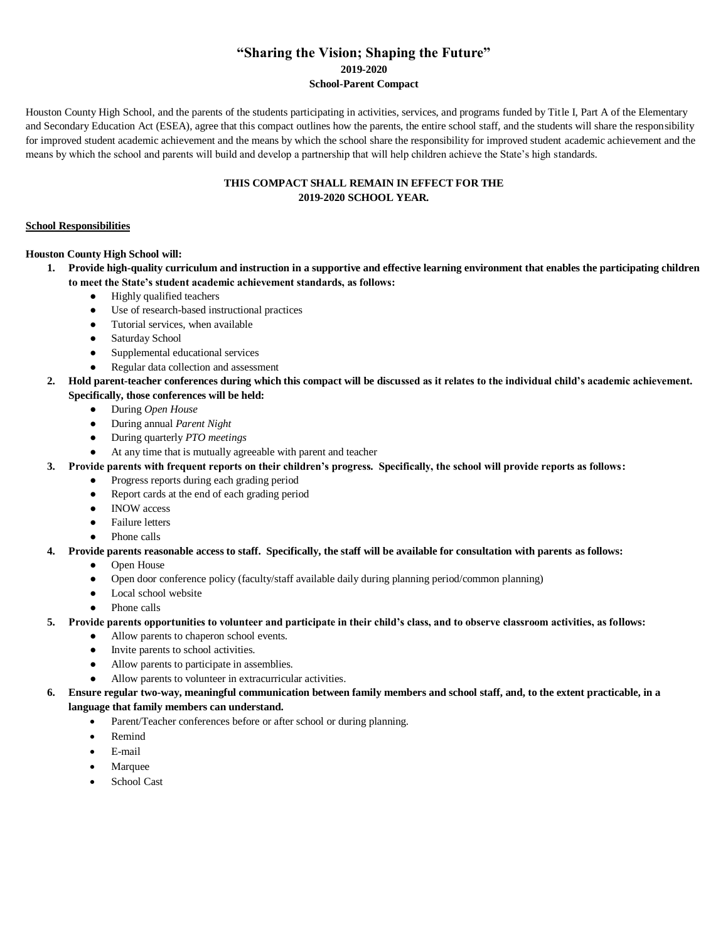### **"Sharing the Vision; Shaping the Future" 2019-2020 School-Parent Compact**

Houston County High School, and the parents of the students participating in activities, services, and programs funded by Title I, Part A of the Elementary and Secondary Education Act (ESEA), agree that this compact outlines how the parents, the entire school staff, and the students will share the responsibility for improved student academic achievement and the means by which the school share the responsibility for improved student academic achievement and the means by which the school and parents will build and develop a partnership that will help children achieve the State's high standards.

### **THIS COMPACT SHALL REMAIN IN EFFECT FOR THE 2019-2020 SCHOOL YEAR.**

#### **School Responsibilities**

#### **Houston County High School will:**

- **1. Provide high-quality curriculum and instruction in a supportive and effective learning environment that enables the participating children to meet the State's student academic achievement standards, as follows:**
	- Highly qualified teachers
	- Use of research-based instructional practices
	- Tutorial services, when available
	- Saturday School
	- Supplemental educational services
	- Regular data collection and assessment
- **2. Hold parent-teacher conferences during which this compact will be discussed as it relates to the individual child's academic achievement. Specifically, those conferences will be held:**
	- During *Open House*
	- During annual *Parent Night*
	- During quarterly *PTO meetings*
	- At any time that is mutually agreeable with parent and teacher
- **3. Provide parents with frequent reports on their children's progress. Specifically, the school will provide reports as follows:**
	- Progress reports during each grading period
		- Report cards at the end of each grading period
		- INOW access
	- Failure letters
	- Phone calls
- **4. Provide parents reasonable access to staff. Specifically, the staff will be available for consultation with parents as follows:**
	- Open House
	- Open door conference policy (faculty/staff available daily during planning period/common planning)
	- Local school website
	- Phone calls
- **5. Provide parents opportunities to volunteer and participate in their child's class, and to observe classroom activities, as follows:**
	- Allow parents to chaperon school events.
	- Invite parents to school activities.
	- Allow parents to participate in assemblies.
	- Allow parents to volunteer in extracurricular activities.
- **6. Ensure regular two-way, meaningful communication between family members and school staff, and, to the extent practicable, in a language that family members can understand.** 
	- Parent/Teacher conferences before or after school or during planning.
	- Remind
	- E-mail
	- Marquee
	- School Cast